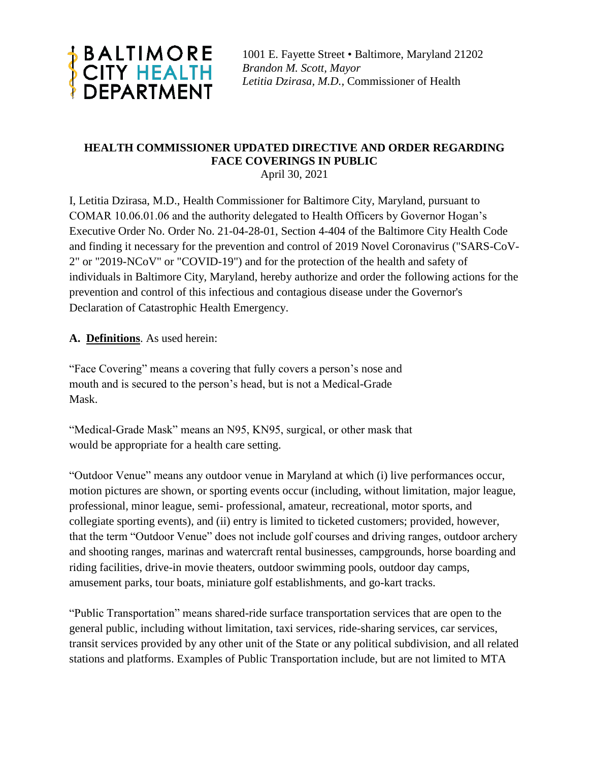

1001 E. Fayette Street • Baltimore, Maryland 21202 *Brandon M. Scott, Mayor Letitia Dzirasa, M.D.,* Commissioner of Health

# **HEALTH COMMISSIONER UPDATED DIRECTIVE AND ORDER REGARDING FACE COVERINGS IN PUBLIC**

April 30, 2021

I, Letitia Dzirasa, M.D., Health Commissioner for Baltimore City, Maryland, pursuant to COMAR 10.06.01.06 and the authority delegated to Health Officers by Governor Hogan's Executive Order No. Order No. 21-04-28-01, Section 4-404 of the Baltimore City Health Code and finding it necessary for the prevention and control of 2019 Novel Coronavirus ("SARS-CoV-2" or "2019-NCoV" or "COVID-19") and for the protection of the health and safety of individuals in Baltimore City, Maryland, hereby authorize and order the following actions for the prevention and control of this infectious and contagious disease under the Governor's Declaration of Catastrophic Health Emergency.

### **A. Definitions**. As used herein:

"Face Covering" means a covering that fully covers a person's nose and mouth and is secured to the person's head, but is not a Medical-Grade Mask.

"Medical-Grade Mask" means an N95, KN95, surgical, or other mask that would be appropriate for a health care setting.

"Outdoor Venue" means any outdoor venue in Maryland at which (i) live performances occur, motion pictures are shown, or sporting events occur (including, without limitation, major league, professional, minor league, semi- professional, amateur, recreational, motor sports, and collegiate sporting events), and (ii) entry is limited to ticketed customers; provided, however, that the term "Outdoor Venue" does not include golf courses and driving ranges, outdoor archery and shooting ranges, marinas and watercraft rental businesses, campgrounds, horse boarding and riding facilities, drive-in movie theaters, outdoor swimming pools, outdoor day camps, amusement parks, tour boats, miniature golf establishments, and go-kart tracks.

"Public Transportation" means shared-ride surface transportation services that are open to the general public, including without limitation, taxi services, ride-sharing services, car services, transit services provided by any other unit of the State or any political subdivision, and all related stations and platforms. Examples of Public Transportation include, but are not limited to MTA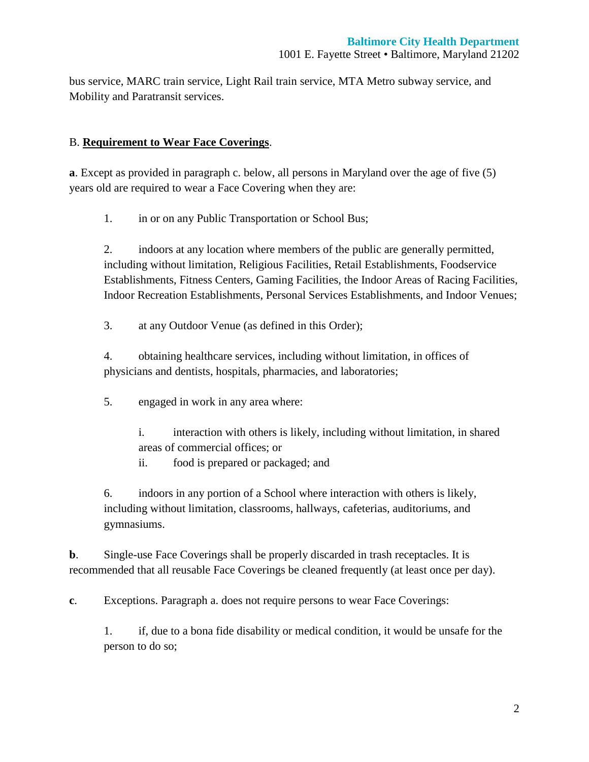bus service, MARC train service, Light Rail train service, MTA Metro subway service, and Mobility and Paratransit services.

#### B. **Requirement to Wear Face Coverings**.

**a**. Except as provided in paragraph c. below, all persons in Maryland over the age of five (5) years old are required to wear a Face Covering when they are:

1. in or on any Public Transportation or School Bus;

2. indoors at any location where members of the public are generally permitted, including without limitation, Religious Facilities, Retail Establishments, Foodservice Establishments, Fitness Centers, Gaming Facilities, the Indoor Areas of Racing Facilities, Indoor Recreation Establishments, Personal Services Establishments, and Indoor Venues;

3. at any Outdoor Venue (as defined in this Order);

4. obtaining healthcare services, including without limitation, in offices of physicians and dentists, hospitals, pharmacies, and laboratories;

5. engaged in work in any area where:

i. interaction with others is likely, including without limitation, in shared areas of commercial offices; or

ii. food is prepared or packaged; and

6. indoors in any portion of a School where interaction with others is likely, including without limitation, classrooms, hallways, cafeterias, auditoriums, and gymnasiums.

**b.** Single-use Face Coverings shall be properly discarded in trash receptacles. It is recommended that all reusable Face Coverings be cleaned frequently (at least once per day).

**c**. Exceptions. Paragraph a. does not require persons to wear Face Coverings:

1. if, due to a bona fide disability or medical condition, it would be unsafe for the person to do so;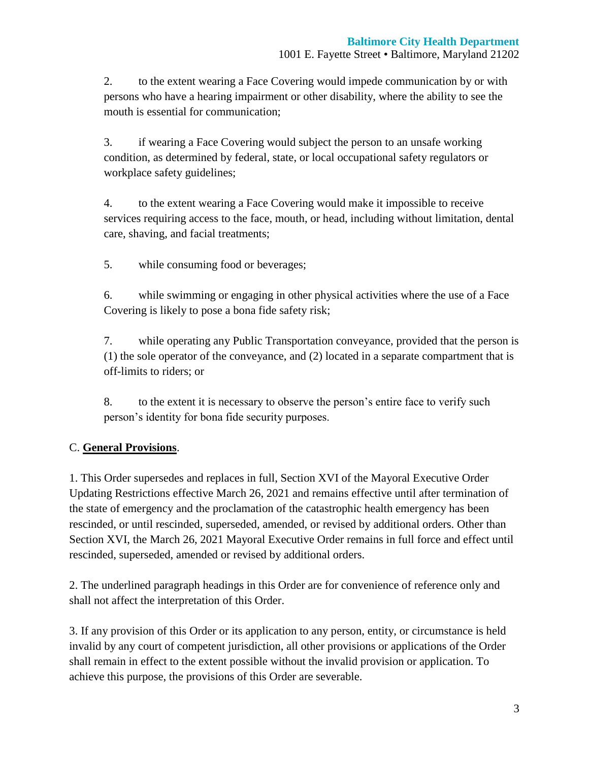2. to the extent wearing a Face Covering would impede communication by or with persons who have a hearing impairment or other disability, where the ability to see the mouth is essential for communication;

3. if wearing a Face Covering would subject the person to an unsafe working condition, as determined by federal, state, or local occupational safety regulators or workplace safety guidelines;

4. to the extent wearing a Face Covering would make it impossible to receive services requiring access to the face, mouth, or head, including without limitation, dental care, shaving, and facial treatments;

5. while consuming food or beverages;

6. while swimming or engaging in other physical activities where the use of a Face Covering is likely to pose a bona fide safety risk;

7. while operating any Public Transportation conveyance, provided that the person is (1) the sole operator of the conveyance, and (2) located in a separate compartment that is off-limits to riders; or

8. to the extent it is necessary to observe the person's entire face to verify such person's identity for bona fide security purposes.

## C. **General Provisions**.

1. This Order supersedes and replaces in full, Section XVI of the Mayoral Executive Order Updating Restrictions effective March 26, 2021 and remains effective until after termination of the state of emergency and the proclamation of the catastrophic health emergency has been rescinded, or until rescinded, superseded, amended, or revised by additional orders. Other than Section XVI, the March 26, 2021 Mayoral Executive Order remains in full force and effect until rescinded, superseded, amended or revised by additional orders.

2. The underlined paragraph headings in this Order are for convenience of reference only and shall not affect the interpretation of this Order.

3. If any provision of this Order or its application to any person, entity, or circumstance is held invalid by any court of competent jurisdiction, all other provisions or applications of the Order shall remain in effect to the extent possible without the invalid provision or application. To achieve this purpose, the provisions of this Order are severable.